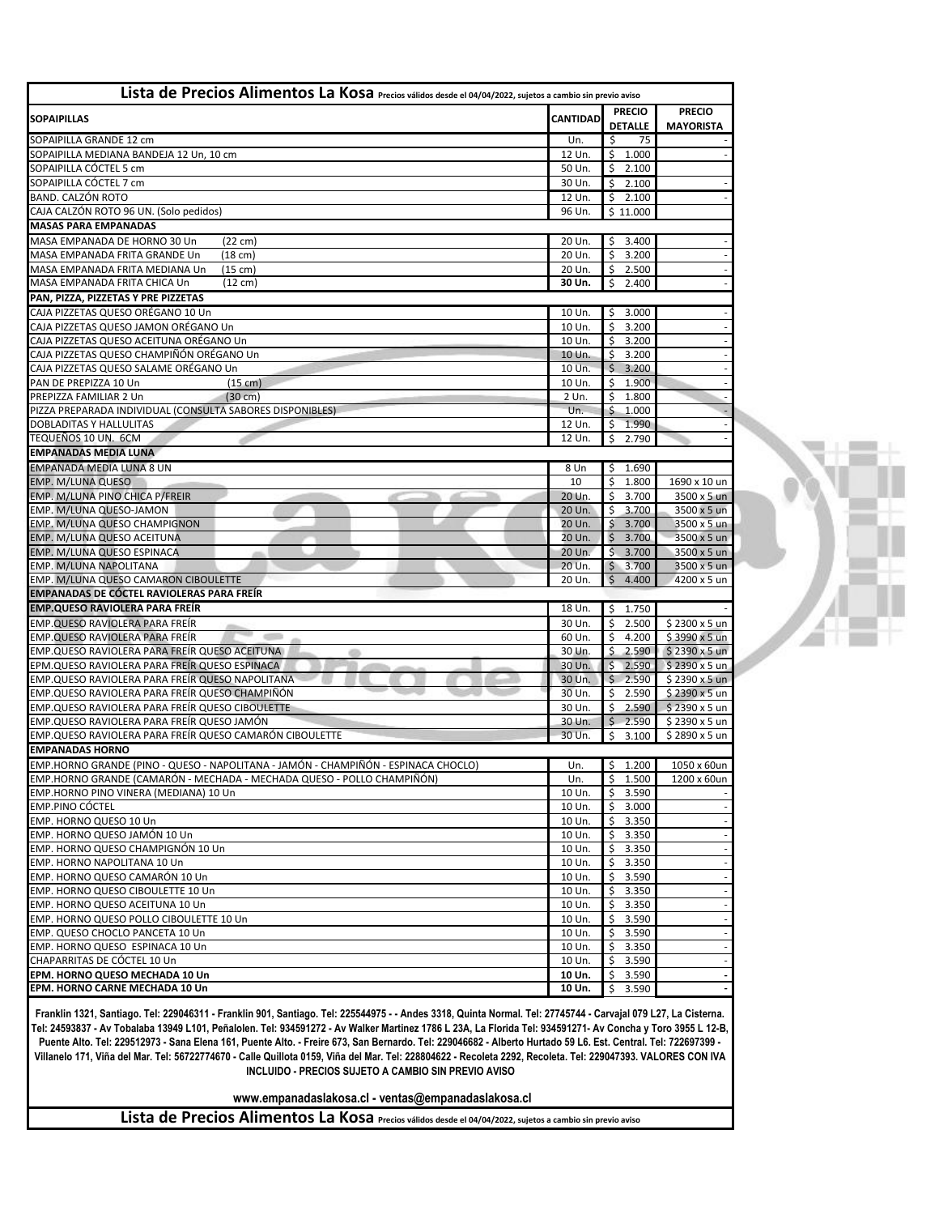| Lista de Precios Alimentos La Kosa Precios válidos desde el 04/04/2022, sujetos a cambio sin previo aviso |                  |                                |                             |
|-----------------------------------------------------------------------------------------------------------|------------------|--------------------------------|-----------------------------|
|                                                                                                           |                  | <b>PRECIO</b>                  | <b>PRECIO</b>               |
| <b>SOPAIPILLAS</b>                                                                                        | <b>CANTIDAD</b>  | <b>DETALLE</b>                 | <b>MAYORISTA</b>            |
| SOPAIPILLA GRANDE 12 cm                                                                                   | Un.              | Ś.<br>75                       |                             |
| SOPAIPILLA MEDIANA BANDEJA 12 Un, 10 cm                                                                   | 12 Un.           | \$1.000                        |                             |
| SOPAIPILLA CÓCTEL 5 cm                                                                                    | 50 Un.           | $\zeta$<br>2.100               |                             |
| SOPAIPILLA CÓCTEL 7 cm                                                                                    | 30 Un.           | $\ddot{\mathsf{S}}$<br>2.100   |                             |
| <b>BAND. CALZÓN ROTO</b>                                                                                  | 12 Un.           | \$<br>2.100                    |                             |
| CAJA CALZÓN ROTO 96 UN. (Solo pedidos)                                                                    | 96 Un.           | \$11.000                       |                             |
| <b>MASAS PARA EMPANADAS</b>                                                                               |                  |                                |                             |
| MASA EMPANADA DE HORNO 30 Un<br>$(22 \text{ cm})$                                                         | 20 Un.           | 3.400<br>Ŝ.                    |                             |
| MASA EMPANADA FRITA GRANDE Un<br>$(18 \text{ cm})$                                                        | 20 Un.           | $\mathsf{S}$<br>3.200          |                             |
| MASA EMPANADA FRITA MEDIANA Un<br>(15 cm)                                                                 | 20 Un.           | \$<br>2.500                    |                             |
| MASA EMPANADA FRITA CHICA Un<br>$(12 \text{ cm})$                                                         | 30 Un.           | $\zeta$<br>2.400               |                             |
| PAN, PIZZA, PIZZETAS Y PRE PIZZETAS                                                                       |                  |                                |                             |
| CAJA PIZZETAS QUESO ORÉGANO 10 Un                                                                         | 10 Un.           | 3.000<br>\$                    |                             |
| CAJA PIZZETAS QUESO JAMON ORÉGANO Un                                                                      | 10 Un.           | $\zeta$<br>3.200               |                             |
| CAJA PIZZETAS QUESO ACEITUNA ORÉGANO Un                                                                   | 10 Un.           | \$<br>3.200                    |                             |
| CAJA PIZZETAS QUESO CHAMPIÑÓN ORÉGANO Un                                                                  | 10 Un.           | $\zeta$<br>3.200               |                             |
| CAJA PIZZETAS QUESO SALAME ORÉGANO Un                                                                     | 10 Un.           | $\zeta$<br>3.200               |                             |
| PAN DE PREPIZZA 10 Un<br>$(15 \text{ cm})$                                                                | 10 Un.           | Ŝ.<br>1.900                    |                             |
| PREPIZZA FAMILIAR 2 Un<br>$(30 \text{ cm})$                                                               | 2 Un.            | $\zeta$<br>1.800               |                             |
| PIZZA PREPARADA INDIVIDUAL (CONSULTA SABORES DISPONIBLES)                                                 | Un.              | $\mathsf{\hat{S}}$<br>1.000    |                             |
| <b>DOBLADITAS Y HALLULITAS</b>                                                                            | 12 Un.           | \$<br>1.990                    |                             |
| TEQUEÑOS 10 UN. 6CM                                                                                       | 12 Un.           | Ŝ.<br>2.790                    |                             |
| <b>EMPANADAS MEDIA LUNA</b>                                                                               |                  |                                |                             |
| <b>EMPANADA MEDIA LUNA 8 UN</b>                                                                           | 8 Un             | \$<br>1.690                    |                             |
| EMP. M/LUNA QUESO                                                                                         | 10               | \$<br>1.800                    | 1690 x 10 un                |
| EMP. M/LUNA PINO CHICA P/FREIR                                                                            | 20 Un.           | $\zeta$<br>3.700               | 3500 x 5 un                 |
| EMP. M/LUNA QUESO-JAMON<br>EMP. M/LUNA QUESO CHAMPIGNON                                                   | 20 Un.           | Ŝ.<br>3.700<br>\$<br>3.700     | 3500 x 5 un                 |
| EMP. M/LUNA QUESO ACEITUNA                                                                                | 20 Un.<br>20 Un. | $\zeta$<br>3.700               | 3500 x 5 un<br>3500 x 5 un  |
| EMP. M/LUNA QUESO ESPINACA                                                                                | 20 Un.           | $\zeta$<br>3.700               | 3500 x 5 un                 |
| EMP. M/LUNA NAPOLITANA                                                                                    | 20 Un.           | \$<br>3.700                    | 3500 x 5 un                 |
| EMP. M/LUNA QUESO CAMARON CIBOULETTE                                                                      | 20 Un.           | $\zeta$<br>4.400               | 4200 x 5 un                 |
| <b>EMPANADAS DE CÓCTEL RAVIOLERAS PARA FREÍR</b>                                                          |                  |                                |                             |
| <b>EMP.QUESO RAVIOLERA PARA FREÍR</b>                                                                     | 18 Un.           | $\frac{1}{2}$<br>1.750         |                             |
| EMP.QUESO RAVIOLERA PARA FREÍR                                                                            | 30 Un.           | $\ddot{\mathsf{S}}$<br>2.500   | $$2300 \times 5 \text{ un}$ |
| EMP.QUESO RAVIOLERA PARA FREÍR                                                                            | 60 Un.           | Ŝ.<br>4.200                    | \$3990 x 5 un               |
| EMP.QUESO RAVIOLERA PARA FREÍR QUESO ACEITUNA<br>œ                                                        | 30 Un.           | \$2.590                        | \$2390 x 5 un               |
| EPM.QUESO RAVIOLERA PARA FREÍR QUESO ESPINACA                                                             | 30 Un.           | \$2.590                        | \$2390 x 5 u n              |
| EMP.QUESO RAVIOLERA PARA FREÍR QUESO NAPOLITANA                                                           | 30 Un.           | \$2.590                        | $$2390 \times 5$ un         |
| EMP.QUESO RAVIOLERA PARA FREÍR QUESO CHAMPIÑÓN                                                            | 30 Un.           | \$2.590                        | \$2390 x 5 un               |
| EMP.QUESO RAVIOLERA PARA FREÍR QUESO CIBOULETTE                                                           | 30 Un.           | \$2.590                        | $$2390 \times 5$ un         |
| EMP.QUESO RAVIOLERA PARA FREÍR QUESO JAMÓN                                                                | 30 Un.           | $\zeta$<br>2.590               | \$2390 x 5 un               |
| EMP.QUESO RAVIOLERA PARA FREÍR QUESO CAMARÓN CIBOULETTE                                                   | 30 Un.           | Ŝ.<br>3.100                    | \$2890 x 5 un               |
| <b>EMPANADAS HORNO</b>                                                                                    |                  |                                |                             |
| EMP.HORNO GRANDE (PINO - QUESO - NAPOLITANA - JAMÓN - CHAMPIÑÓN - ESPINACA CHOCLO)                        | Un.              | Ŝ.<br>1.200                    | 1050 x 60un                 |
| EMP.HORNO GRANDE (CAMARÓN - MECHADA - MECHADA QUESO - POLLO CHAMPIÑÓN)                                    | Un.              | Ŝ.<br>1.500                    | 1200 x 60un                 |
| EMP.HORNO PINO VINERA (MEDIANA) 10 Un                                                                     | 10 Un.           | $\ddot{\mathsf{S}}$<br>3.590   |                             |
| <b>EMP.PINO CÓCTEL</b>                                                                                    | 10 Un.           | $\ddot{\mathsf{S}}$<br>3.000   |                             |
| EMP. HORNO QUESO 10 Un                                                                                    | 10 Un.           | \$<br>3.350                    |                             |
| EMP. HORNO QUESO JAMÓN 10 Un                                                                              | 10 Un.           | \$<br>3.350                    |                             |
| EMP. HORNO QUESO CHAMPIGNÓN 10 Un                                                                         | 10 Un.           | \$<br>3.350                    |                             |
| EMP. HORNO NAPOLITANA 10 Un                                                                               | 10 Un.           | \$<br>3.350                    |                             |
| EMP. HORNO QUESO CAMARÓN 10 Un                                                                            | 10 Un.           | $\ddot{\mathsf{S}}$<br>3.590   |                             |
| EMP. HORNO QUESO CIBOULETTE 10 Un                                                                         | 10 Un.           | $\ddot{\mathsf{S}}$<br>3.350   |                             |
| EMP. HORNO QUESO ACEITUNA 10 Un                                                                           | 10 Un.           | \$<br>3.350                    |                             |
| EMP. HORNO QUESO POLLO CIBOULETTE 10 Un                                                                   | 10 Un.           | \$<br>3.590                    |                             |
| EMP. QUESO CHOCLO PANCETA 10 Un<br>EMP. HORNO QUESO ESPINACA 10 Un                                        | 10 Un.           | Ŝ.<br>3.590<br>Ŝ.              |                             |
| CHAPARRITAS DE CÓCTEL 10 Un                                                                               | 10 Un.<br>10 Un. | 3.350<br>$\mathsf{S}$<br>3.590 |                             |
| EPM. HORNO QUESO MECHADA 10 Un                                                                            | 10 Un.           | \$<br>3.590                    |                             |
| EPM. HORNO CARNE MECHADA 10 Un                                                                            | 10 Un.           | \$<br>3.590                    |                             |
|                                                                                                           |                  |                                |                             |



Franklin 1321, Santiago. Tel: 229046311 - Franklin 901, Santiago. Tel: 225544975 - - Andes 3318, Quinta Normal. Tel: 27745744 - Carvajal 079 L27, La Cisterna. Tel: 24593837 - Av Tobalaba 13949 L101, Peñalolen. Tel: 934591272 - Av Walker Martinez 1786 L 23A, La Florida Tel: 934591271- Av Concha y Toro 3955 L 12-B, Puente Alto. Tel: 229512973 - Sana Elena 161, Puente Alto. - Freire 673, San Bernardo. Tel: 229046682 - Alberto Hurtado 59 L6. Est. Central. Tel: 722697399 -Villanelo 171, Viña del Mar. Tel: 56722774670 - Calle Quillota 0159, Viña del Mar. Tel: 228804622 - Recoleta 2292, Recoleta. Tel: 229047393. VALORES CON IVA INCLUIDO - PRECIOS SUJETO A CAMBIO SIN PREVIO AVISO

www.empanadaslakosa.cl - ventas@empanadaslakosa.cl

Lista de Precios Alimentos La Kosa Precios válidos desde el 04/04/2022, sujetos a cambio sin previo aviso